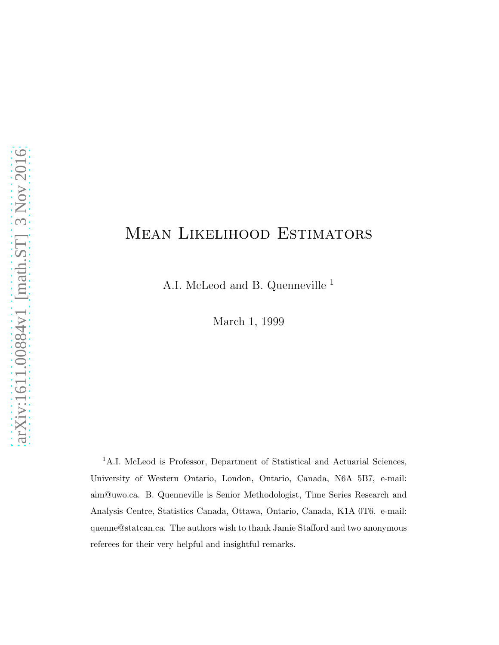# Mean Likelihood Estimators

A.I. McLeod and B. Quenneville <sup>1</sup>

March 1, 1999

<sup>1</sup>A.I. McLeod is Professor, Department of Statistical and Actuarial Sciences, University of Western Ontario, London, Ontario, Canada, N6A 5B7, e-mail: aim@uwo.ca. B. Quenneville is Senior Methodologist, Time Series Research and Analysis Centre, Statistics Canada, Ottawa, Ontario, Canada, K1A 0T6. e-mail: quenne@statcan.ca. The authors wish to thank Jamie Stafford and two anonymous referees for their very helpful and insightful remarks.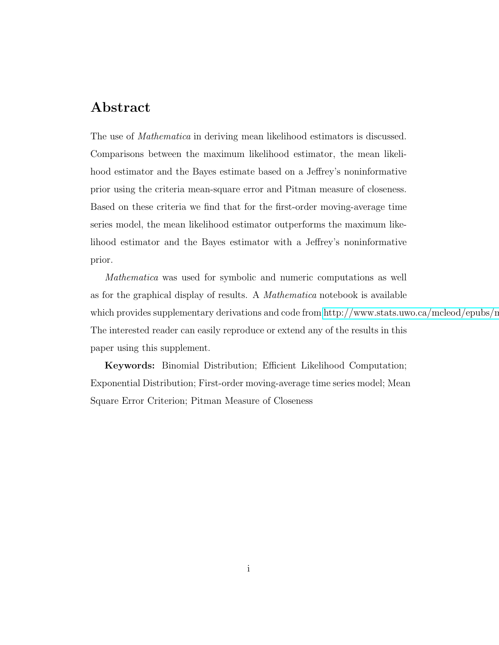# Abstract

The use of Mathematica in deriving mean likelihood estimators is discussed. Comparisons between the maximum likelihood estimator, the mean likelihood estimator and the Bayes estimate based on a Jeffrey's noninformative prior using the criteria mean-square error and Pitman measure of closeness. Based on these criteria we find that for the first-order moving-average time series model, the mean likelihood estimator outperforms the maximum likelihood estimator and the Bayes estimator with a Jeffrey's noninformative prior.

Mathematica was used for symbolic and numeric computations as well as for the graphical display of results. A Mathematica notebook is available which provides supplementary derivations and code from http://www.stats.uwo.ca/mcleod/epubs/n The interested reader can easily reproduce or extend any of the results in this paper using this supplement.

Keywords: Binomial Distribution; Efficient Likelihood Computation; Exponential Distribution; First-order moving-average time series model; Mean Square Error Criterion; Pitman Measure of Closeness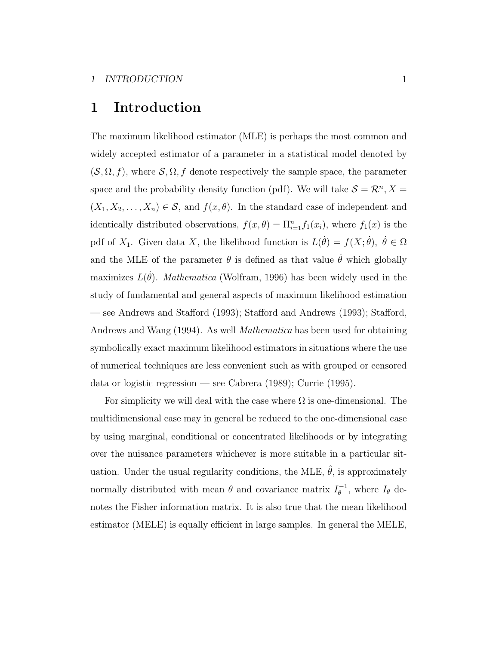## 1 Introduction

The maximum likelihood estimator (MLE) is perhaps the most common and widely accepted estimator of a parameter in a statistical model denoted by  $(\mathcal{S}, \Omega, f)$ , where  $\mathcal{S}, \Omega, f$  denote respectively the sample space, the parameter space and the probability density function (pdf). We will take  $S = \mathcal{R}^n$ ,  $X =$  $(X_1, X_2, \ldots, X_n) \in \mathcal{S}$ , and  $f(x, \theta)$ . In the standard case of independent and identically distributed observations,  $f(x, \theta) = \prod_{i=1}^{n} f_1(x_i)$ , where  $f_1(x)$  is the pdf of  $X_1$ . Given data X, the likelihood function is  $L(\dot{\theta}) = f(X; \dot{\theta}), \ \dot{\theta} \in \Omega$ and the MLE of the parameter  $\theta$  is defined as that value  $\dot{\theta}$  which globally maximizes  $L(\dot{\theta})$ . *Mathematica* (Wolfram, 1996) has been widely used in the study of fundamental and general aspects of maximum likelihood estimation — see Andrews and Stafford (1993); Stafford and Andrews (1993); Stafford, Andrews and Wang (1994). As well Mathematica has been used for obtaining symbolically exact maximum likelihood estimators in situations where the use of numerical techniques are less convenient such as with grouped or censored data or logistic regression — see Cabrera (1989); Currie (1995).

For simplicity we will deal with the case where  $\Omega$  is one-dimensional. The multidimensional case may in general be reduced to the one-dimensional case by using marginal, conditional or concentrated likelihoods or by integrating over the nuisance parameters whichever is more suitable in a particular situation. Under the usual regularity conditions, the MLE,  $\hat{\theta}$ , is approximately normally distributed with mean  $\theta$  and covariance matrix  $I_{\theta}^{-1}$ , where  $I_{\theta}$  denotes the Fisher information matrix. It is also true that the mean likelihood estimator (MELE) is equally efficient in large samples. In general the MELE,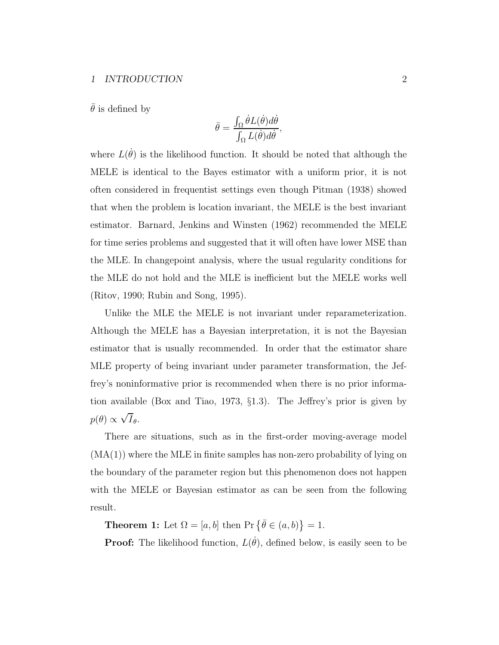#### 1 INTRODUCTION 2

 $\bar{\theta}$  is defined by

$$
\bar{\theta} = \frac{\int_{\Omega} \dot{\theta} L(\dot{\theta}) d\dot{\theta}}{\int_{\Omega} L(\dot{\theta}) d\dot{\theta}},
$$

where  $L(\dot{\theta})$  is the likelihood function. It should be noted that although the MELE is identical to the Bayes estimator with a uniform prior, it is not often considered in frequentist settings even though Pitman (1938) showed that when the problem is location invariant, the MELE is the best invariant estimator. Barnard, Jenkins and Winsten (1962) recommended the MELE for time series problems and suggested that it will often have lower MSE than the MLE. In changepoint analysis, where the usual regularity conditions for the MLE do not hold and the MLE is inefficient but the MELE works well (Ritov, 1990; Rubin and Song, 1995).

Unlike the MLE the MELE is not invariant under reparameterization. Although the MELE has a Bayesian interpretation, it is not the Bayesian estimator that is usually recommended. In order that the estimator share MLE property of being invariant under parameter transformation, the Jeffrey's noninformative prior is recommended when there is no prior information available (Box and Tiao, 1973, §1.3). The Jeffrey's prior is given by  $p(\theta) \propto \sqrt{I_{\theta}}.$ 

There are situations, such as in the first-order moving-average model  $(MA(1))$  where the MLE in finite samples has non-zero probability of lying on the boundary of the parameter region but this phenomenon does not happen with the MELE or Bayesian estimator as can be seen from the following result.

**Theorem 1:** Let  $\Omega = [a, b]$  then  $\Pr\{\bar{\theta} \in (a, b)\} = 1$ .

**Proof:** The likelihood function,  $L(\dot{\theta})$ , defined below, is easily seen to be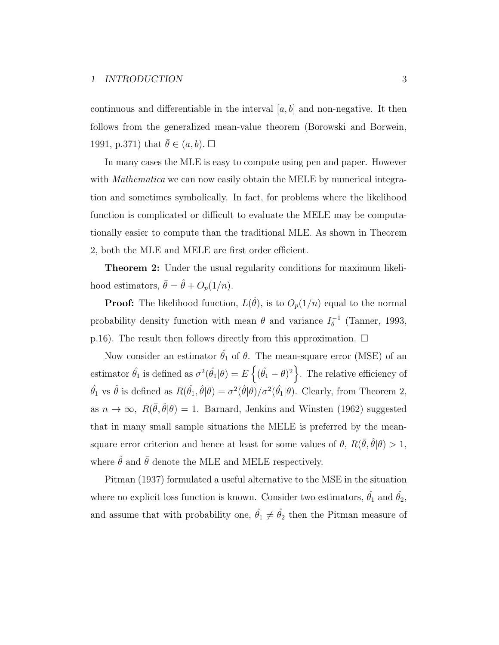continuous and differentiable in the interval  $[a, b]$  and non-negative. It then follows from the generalized mean-value theorem (Borowski and Borwein, 1991, p.371) that  $\bar{\theta} \in (a, b)$ .  $\Box$ 

In many cases the MLE is easy to compute using pen and paper. However with *Mathematica* we can now easily obtain the MELE by numerical integration and sometimes symbolically. In fact, for problems where the likelihood function is complicated or difficult to evaluate the MELE may be computationally easier to compute than the traditional MLE. As shown in Theorem 2, both the MLE and MELE are first order efficient.

Theorem 2: Under the usual regularity conditions for maximum likelihood estimators,  $\bar{\theta} = \hat{\theta} + O_p(1/n)$ .

**Proof:** The likelihood function,  $L(\dot{\theta})$ , is to  $O_p(1/n)$  equal to the normal probability density function with mean  $\theta$  and variance  $I_{\theta}^{-1}$  (Tanner, 1993, p.16). The result then follows directly from this approximation.  $\Box$ 

Now consider an estimator  $\hat{\theta_1}$  of  $\theta$ . The mean-square error (MSE) of an estimator  $\hat{\theta_1}$  is defined as  $\sigma^2(\hat{\theta_1}|\theta) = E\left\{(\hat{\theta_1} - \theta)^2\right\}$ . The relative efficiency of  $\hat{\theta}_1$  vs  $\hat{\theta}$  is defined as  $R(\hat{\theta}_1, \hat{\theta} | \theta) = \sigma^2(\hat{\theta} | \theta) / \sigma^2(\hat{\theta}_1 | \theta)$ . Clearly, from Theorem 2, as  $n \to \infty$ ,  $R(\bar{\theta}, \hat{\theta} | \theta) = 1$ . Barnard, Jenkins and Winsten (1962) suggested that in many small sample situations the MELE is preferred by the meansquare error criterion and hence at least for some values of  $\theta$ ,  $R(\bar{\theta}, \hat{\theta} | \theta) > 1$ , where  $\hat{\theta}$  and  $\bar{\theta}$  denote the MLE and MELE respectively.

Pitman (1937) formulated a useful alternative to the MSE in the situation where no explicit loss function is known. Consider two estimators,  $\hat{\theta}_1$  and  $\hat{\theta}_2$ , and assume that with probability one,  $\hat{\theta_1} \neq \hat{\theta_2}$  then the Pitman measure of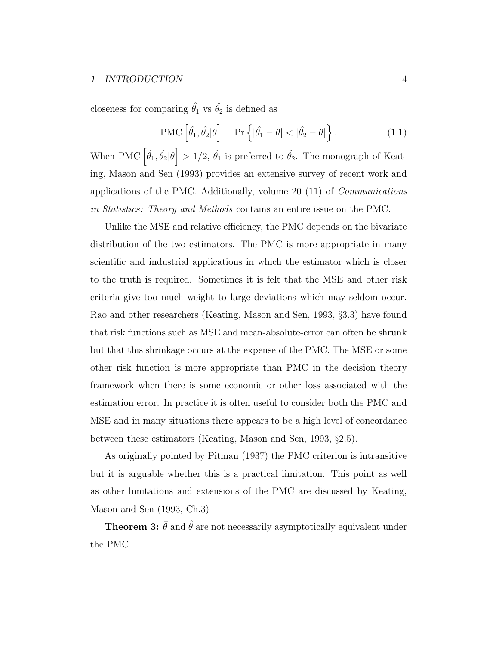#### 1 INTRODUCTION 4

closeness for comparing  $\hat{\theta_1}$  vs  $\hat{\theta_2}$  is defined as

<span id="page-5-0"></span>
$$
\text{PMC}\left[\hat{\theta}_1, \hat{\theta}_2 | \theta\right] = \text{Pr}\left\{|\hat{\theta}_1 - \theta| < |\hat{\theta}_2 - \theta|\right\}.\tag{1.1}
$$

When PMC  $\left[\hat{\theta_1}, \hat{\theta_2} | \theta\right] > 1/2$ ,  $\hat{\theta_1}$  is preferred to  $\hat{\theta_2}$ . The monograph of Keating, Mason and Sen (1993) provides an extensive survey of recent work and applications of the PMC. Additionally, volume 20 (11) of Communications in Statistics: Theory and Methods contains an entire issue on the PMC.

Unlike the MSE and relative efficiency, the PMC depends on the bivariate distribution of the two estimators. The PMC is more appropriate in many scientific and industrial applications in which the estimator which is closer to the truth is required. Sometimes it is felt that the MSE and other risk criteria give too much weight to large deviations which may seldom occur. Rao and other researchers (Keating, Mason and Sen, 1993, §3.3) have found that risk functions such as MSE and mean-absolute-error can often be shrunk but that this shrinkage occurs at the expense of the PMC. The MSE or some other risk function is more appropriate than PMC in the decision theory framework when there is some economic or other loss associated with the estimation error. In practice it is often useful to consider both the PMC and MSE and in many situations there appears to be a high level of concordance between these estimators (Keating, Mason and Sen, 1993, §2.5).

As originally pointed by Pitman (1937) the PMC criterion is intransitive but it is arguable whether this is a practical limitation. This point as well as other limitations and extensions of the PMC are discussed by Keating, Mason and Sen (1993, Ch.3)

**Theorem 3:**  $\bar{\theta}$  and  $\hat{\theta}$  are not necessarily asymptotically equivalent under the PMC.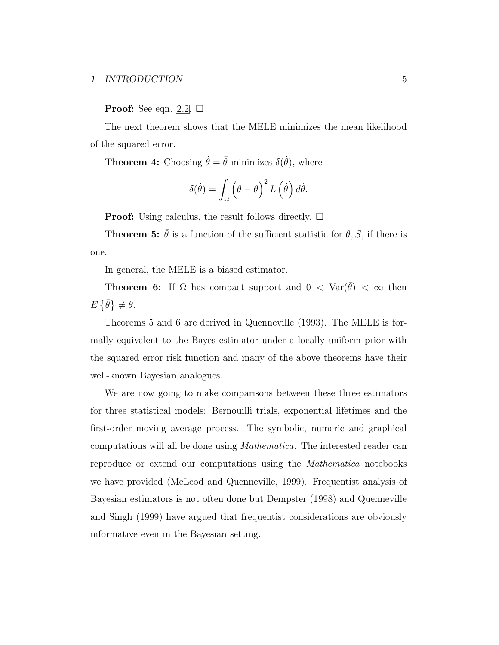**Proof:** See eqn. [2.2.](#page-8-0)  $\Box$ 

The next theorem shows that the MELE minimizes the mean likelihood of the squared error.

**Theorem 4:** Choosing  $\dot{\theta} = \bar{\theta}$  minimizes  $\delta(\dot{\theta})$ , where

$$
\delta(\dot{\theta}) = \int_{\Omega} \left(\dot{\theta} - \theta\right)^2 L\left(\dot{\theta}\right) d\dot{\theta}.
$$

**Proof:** Using calculus, the result follows directly.  $\Box$ 

**Theorem 5:**  $\bar{\theta}$  is a function of the sufficient statistic for  $\theta$ , S, if there is one.

In general, the MELE is a biased estimator.

**Theorem 6:** If  $\Omega$  has compact support and  $0 < \text{Var}(\bar{\theta}) < \infty$  then  $E\left\{\bar{\theta}\right\}\neq\theta.$ 

Theorems 5 and 6 are derived in Quenneville (1993). The MELE is formally equivalent to the Bayes estimator under a locally uniform prior with the squared error risk function and many of the above theorems have their well-known Bayesian analogues.

We are now going to make comparisons between these three estimators for three statistical models: Bernouilli trials, exponential lifetimes and the first-order moving average process. The symbolic, numeric and graphical computations will all be done using Mathematica. The interested reader can reproduce or extend our computations using the Mathematica notebooks we have provided (McLeod and Quenneville, 1999). Frequentist analysis of Bayesian estimators is not often done but Dempster (1998) and Quenneville and Singh (1999) have argued that frequentist considerations are obviously informative even in the Bayesian setting.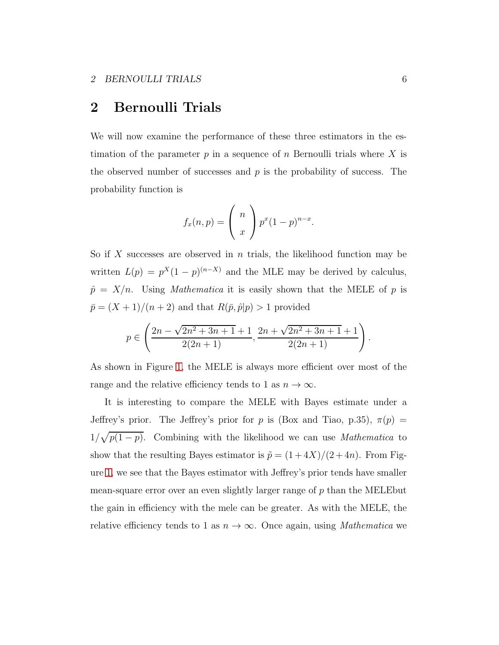### 2 Bernoulli Trials

We will now examine the performance of these three estimators in the estimation of the parameter  $p$  in a sequence of n Bernoulli trials where X is the observed number of successes and  $p$  is the probability of success. The probability function is

$$
f_x(n,p) = {n \choose x} p^x (1-p)^{n-x}.
$$

So if X successes are observed in n trials, the likelihood function may be written  $L(p) = p^X (1-p)^{(n-X)}$  and the MLE may be derived by calculus,  $\hat{p} = X/n$ . Using *Mathematica* it is easily shown that the MELE of p is  $\bar{p} = (X + 1)/(n + 2)$  and that  $R(\bar{p}, \hat{p}|p) > 1$  provided

$$
p \in \left(\frac{2n - \sqrt{2n^2 + 3n + 1} + 1}{2(2n + 1)}, \frac{2n + \sqrt{2n^2 + 3n + 1} + 1}{2(2n + 1)}\right).
$$

As shown in Figure [1,](#page-22-0) the MELE is always more efficient over most of the range and the relative efficiency tends to 1 as  $n \to \infty$ .

It is interesting to compare the MELE with Bayes estimate under a Jeffrey's prior. The Jeffrey's prior for p is (Box and Tiao, p.35),  $\pi(p)$  =  $1/\sqrt{p(1-p)}$ . Combining with the likelihood we can use *Mathematica* to show that the resulting Bayes estimator is  $\tilde{p} = (1+4X)/(2+4n)$ . From Figure [1,](#page-22-0) we see that the Bayes estimator with Jeffrey's prior tends have smaller mean-square error over an even slightly larger range of p than the MELEbut the gain in efficiency with the mele can be greater. As with the MELE, the relative efficiency tends to 1 as  $n \to \infty$ . Once again, using *Mathematica* we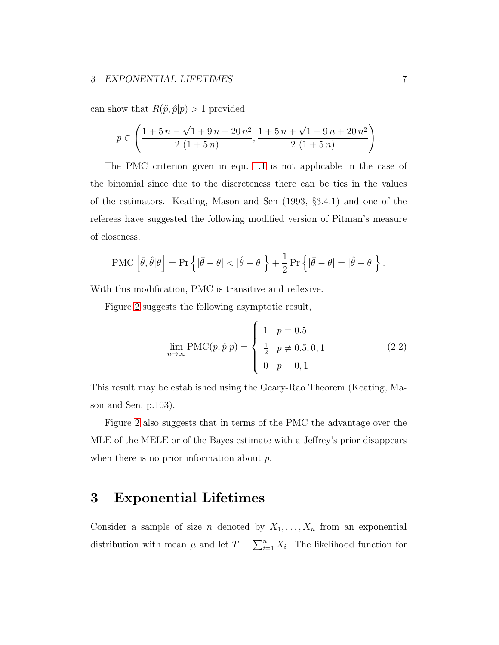#### 3 EXPONENTIAL LIFETIMES 7

can show that  $R(\tilde{p}, \hat{p}|p) > 1$  provided

$$
p \in \left(\frac{1+5 n - \sqrt{1+9 n+20 n^2}}{2 (1+5 n)}, \frac{1+5 n + \sqrt{1+9 n+20 n^2}}{2 (1+5 n)}\right).
$$

The PMC criterion given in eqn. [1.1](#page-5-0) is not applicable in the case of the binomial since due to the discreteness there can be ties in the values of the estimators. Keating, Mason and Sen (1993, §3.4.1) and one of the referees have suggested the following modified version of Pitman's measure of closeness,

$$
\text{PMC}\left[\bar{\theta},\hat{\theta}|\theta\right] = \text{Pr}\left\{|\bar{\theta} - \theta| < |\hat{\theta} - \theta|\right\} + \frac{1}{2}\text{Pr}\left\{|\bar{\theta} - \theta| = |\hat{\theta} - \theta|\right\}.
$$

With this modification, PMC is transitive and reflexive.

Figure [2](#page-23-0) suggests the following asymptotic result,

<span id="page-8-0"></span>
$$
\lim_{n \to \infty} \text{PMC}(\bar{p}, \hat{p}|p) = \begin{cases} 1 & p = 0.5 \\ \frac{1}{2} & p \neq 0.5, 0, 1 \\ 0 & p = 0, 1 \end{cases}
$$
(2.2)

This result may be established using the Geary-Rao Theorem (Keating, Mason and Sen, p.103).

Figure [2](#page-23-0) also suggests that in terms of the PMC the advantage over the MLE of the MELE or of the Bayes estimate with a Jeffrey's prior disappears when there is no prior information about  $p$ .

# 3 Exponential Lifetimes

Consider a sample of size n denoted by  $X_1, \ldots, X_n$  from an exponential distribution with mean  $\mu$  and let  $T = \sum_{i=1}^{n} X_i$ . The likelihood function for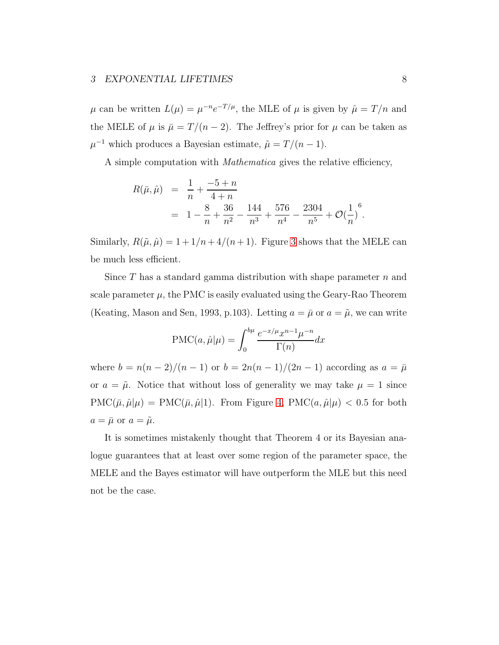#### 3 EXPONENTIAL LIFETIMES 8

 $\mu$  can be written  $L(\mu) = \mu^{-n} e^{-T/\mu}$ , the MLE of  $\mu$  is given by  $\hat{\mu} = T/n$  and the MELE of  $\mu$  is  $\bar{\mu} = T/(n-2)$ . The Jeffrey's prior for  $\mu$  can be taken as  $\mu^{-1}$  which produces a Bayesian estimate,  $\tilde{\mu} = T/(n - 1)$ .

A simple computation with Mathematica gives the relative efficiency,

$$
R(\bar{\mu}, \hat{\mu}) = \frac{1}{n} + \frac{-5 + n}{4 + n}
$$
  
=  $1 - \frac{8}{n} + \frac{36}{n^2} - \frac{144}{n^3} + \frac{576}{n^4} - \frac{2304}{n^5} + \mathcal{O}(\frac{1}{n})^6$ .

Similarly,  $R(\tilde{\mu}, \hat{\mu}) = 1 + 1/n + 4/(n+1)$ . Figure [3](#page-24-0) shows that the MELE can be much less efficient.

Since  $T$  has a standard gamma distribution with shape parameter  $n$  and scale parameter  $\mu$ , the PMC is easily evaluated using the Geary-Rao Theorem (Keating, Mason and Sen, 1993, p.103). Letting  $a = \bar{\mu}$  or  $a = \tilde{\mu}$ , we can write

$$
\text{PMC}(a,\hat{\mu}|\mu) = \int_0^{b\mu} \frac{e^{-x/\mu} x^{n-1} \mu^{-n}}{\Gamma(n)} dx
$$

where  $b = n(n-2)/(n-1)$  or  $b = 2n(n-1)/(2n-1)$  according as  $a = \bar{\mu}$ or  $a = \tilde{\mu}$ . Notice that without loss of generality we may take  $\mu = 1$  since  $PMC(\bar{\mu}, \hat{\mu}|\mu) = PMC(\bar{\mu}, \hat{\mu}|1)$ . From Figure [4,](#page-25-0)  $PMC(a, \hat{\mu}|\mu) < 0.5$  for both  $a = \bar{\mu}$  or  $a = \tilde{\mu}$ .

It is sometimes mistakenly thought that Theorem 4 or its Bayesian analogue guarantees that at least over some region of the parameter space, the MELE and the Bayes estimator will have outperform the MLE but this need not be the case.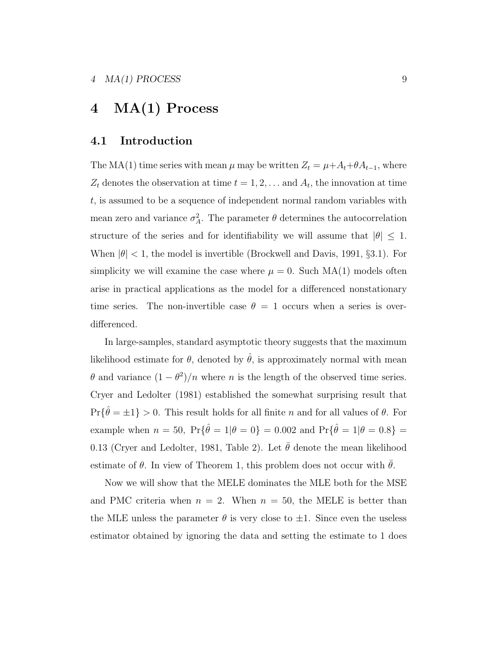# 4 MA(1) Process

### 4.1 Introduction

The MA(1) time series with mean  $\mu$  may be written  $Z_t = \mu + A_t + \theta A_{t-1}$ , where  $Z_t$  denotes the observation at time  $t = 1, 2, \ldots$  and  $A_t$ , the innovation at time t, is assumed to be a sequence of independent normal random variables with mean zero and variance  $\sigma_A^2$ . The parameter  $\theta$  determines the autocorrelation structure of the series and for identifiability we will assume that  $|\theta| \leq 1$ . When  $|\theta|$  < 1, the model is invertible (Brockwell and Davis, 1991, §3.1). For simplicity we will examine the case where  $\mu = 0$ . Such MA(1) models often arise in practical applications as the model for a differenced nonstationary time series. The non-invertible case  $\theta = 1$  occurs when a series is overdifferenced.

In large-samples, standard asymptotic theory suggests that the maximum likelihood estimate for  $\theta$ , denoted by  $\hat{\theta}$ , is approximately normal with mean  $\theta$  and variance  $(1 - \theta^2)/n$  where n is the length of the observed time series. Cryer and Ledolter (1981) established the somewhat surprising result that  $Pr{\hat{\theta} = \pm 1} > 0$ . This result holds for all finite *n* and for all values of  $\theta$ . For example when  $n = 50$ ,  $Pr{\hat{\theta} = 1 | \theta = 0} = 0.002$  and  $Pr{\hat{\theta} = 1 | \theta = 0.8}$ 0.13 (Cryer and Ledolter, 1981, Table 2). Let  $\bar{\theta}$  denote the mean likelihood estimate of  $\theta$ . In view of Theorem 1, this problem does not occur with  $\theta$ .

Now we will show that the MELE dominates the MLE both for the MSE and PMC criteria when  $n = 2$ . When  $n = 50$ , the MELE is better than the MLE unless the parameter  $\theta$  is very close to  $\pm 1$ . Since even the useless estimator obtained by ignoring the data and setting the estimate to 1 does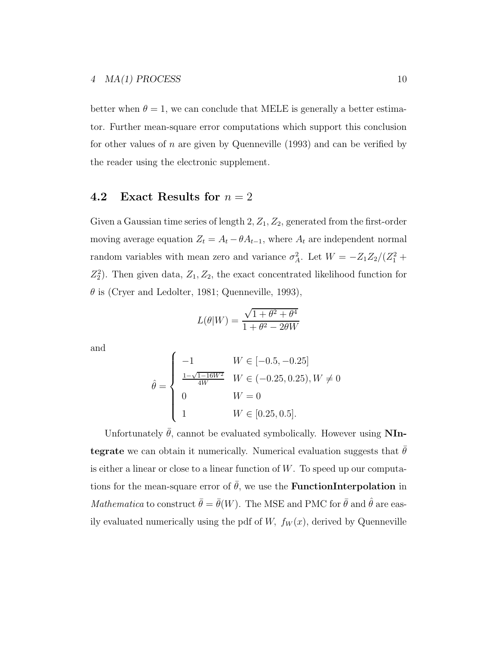better when  $\theta = 1$ , we can conclude that MELE is generally a better estimator. Further mean-square error computations which support this conclusion for other values of  $n$  are given by Quenneville (1993) and can be verified by the reader using the electronic supplement.

### 4.2 Exact Results for  $n = 2$

Given a Gaussian time series of length  $2, Z_1, Z_2$ , generated from the first-order moving average equation  $Z_t = A_t - \theta A_{t-1}$ , where  $A_t$  are independent normal random variables with mean zero and variance  $\sigma_A^2$ . Let  $W = -Z_1 Z_2/(Z_1^2 +$  $Z_2^2$ ). Then given data,  $Z_1, Z_2$ , the exact concentrated likelihood function for  $\theta$  is (Cryer and Ledolter, 1981; Quenneville, 1993),

$$
L(\theta|W) = \frac{\sqrt{1 + \theta^2 + \theta^4}}{1 + \theta^2 - 2\theta W}
$$

and

$$
\hat{\theta} = \begin{cases}\n-1 & W \in [-0.5, -0.25] \\
\frac{1 - \sqrt{1 - 16W^2}}{4W} & W \in (-0.25, 0.25), W \neq 0 \\
0 & W = 0 \\
1 & W \in [0.25, 0.5].\n\end{cases}
$$

Unfortunately  $\bar{\theta}$ , cannot be evaluated symbolically. However using NIntegrate we can obtain it numerically. Numerical evaluation suggests that  $\theta$ is either a linear or close to a linear function of  $W$ . To speed up our computations for the mean-square error of  $\bar{\theta}$ , we use the **FunctionInterpolation** in Mathematica to construct  $\bar{\theta} = \bar{\theta}(W)$ . The MSE and PMC for  $\bar{\theta}$  and  $\hat{\theta}$  are easily evaluated numerically using the pdf of  $W$ ,  $f_W(x)$ , derived by Quenneville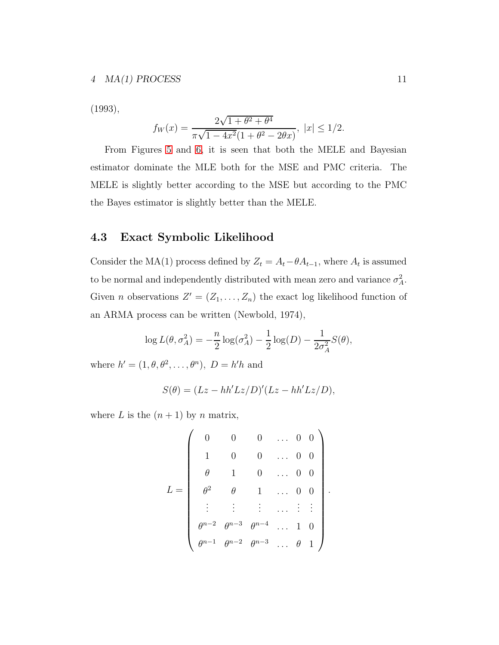### 4 MA(1) PROCESS 11

(1993),

$$
f_W(x) = \frac{2\sqrt{1+\theta^2+\theta^4}}{\pi\sqrt{1-4x^2}(1+\theta^2-2\theta x)}, \ |x| \le 1/2.
$$

From Figures [5](#page-25-1) and [6,](#page-26-0) it is seen that both the MELE and Bayesian estimator dominate the MLE both for the MSE and PMC criteria. The MELE is slightly better according to the MSE but according to the PMC the Bayes estimator is slightly better than the MELE.

### 4.3 Exact Symbolic Likelihood

Consider the MA(1) process defined by  $Z_t = A_t - \theta A_{t-1}$ , where  $A_t$  is assumed to be normal and independently distributed with mean zero and variance  $\sigma_A^2$ . Given *n* observations  $Z' = (Z_1, \ldots, Z_n)$  the exact log likelihood function of an ARMA process can be written (Newbold, 1974),

$$
\log L(\theta, \sigma_A^2) = -\frac{n}{2} \log(\sigma_A^2) - \frac{1}{2} \log(D) - \frac{1}{2\sigma_A^2} S(\theta),
$$

where  $h' = (1, \theta, \theta^2, \dots, \theta^n)$ ,  $D = h'h$  and

$$
S(\theta) = (Lz - hh'Lz/D)'(Lz - hh'Lz/D),
$$

where L is the  $(n+1)$  by n matrix,

$$
L = \left(\begin{array}{ccccc} 0 & 0 & 0 & \ldots & 0 & 0 \\ 1 & 0 & 0 & \ldots & 0 & 0 \\ \theta & 1 & 0 & \ldots & 0 & 0 \\ \theta^2 & \theta & 1 & \ldots & 0 & 0 \\ \vdots & \vdots & \vdots & \ldots & \vdots & \vdots \\ \theta^{n-2} & \theta^{n-3} & \theta^{n-4} & \ldots & 1 & 0 \\ \theta^{n-1} & \theta^{n-2} & \theta^{n-3} & \ldots & \theta & 1 \end{array}\right).
$$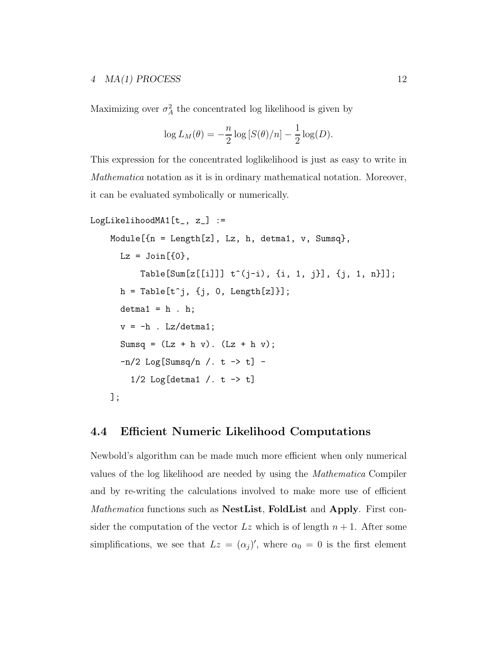### 4 MA(1) PROCESS 12

Maximizing over  $\sigma_A^2$  the concentrated log likelihood is given by

$$
\log L_M(\theta) = -\frac{n}{2} \log \left[ S(\theta)/n \right] - \frac{1}{2} \log(D).
$$

This expression for the concentrated loglikelihood is just as easy to write in Mathematica notation as it is in ordinary mathematical notation. Moreover, it can be evaluated symbolically or numerically.

```
LogLikelihoodMA1[t_, z_] :=
    Module[{n = Length[z], Lz, h, detma1, v, Sumsq},
      Lz = \text{Join}[\{0\},Table[Sum[z[[i]]] t^(j-i), \{i, 1, j\}], \{j, 1, n\}]];
      h = Table[t^j, {j, 0, Length[z]}];\text{detma1} = h. h;
      v = -h . Lz/detma1;
      Sumsq = (Lz + h v). (Lz + h v);
      -n/2 Log[Sumsq/n /. t -> t] -
        1/2 Log[detma1 /. t -> t]
    ];
```
### 4.4 Efficient Numeric Likelihood Computations

Newbold's algorithm can be made much more efficient when only numerical values of the log likelihood are needed by using the Mathematica Compiler and by re-writing the calculations involved to make more use of efficient Mathematica functions such as NestList, FoldList and Apply. First consider the computation of the vector  $Lz$  which is of length  $n + 1$ . After some simplifications, we see that  $Lz = (\alpha_j)'$ , where  $\alpha_0 = 0$  is the first element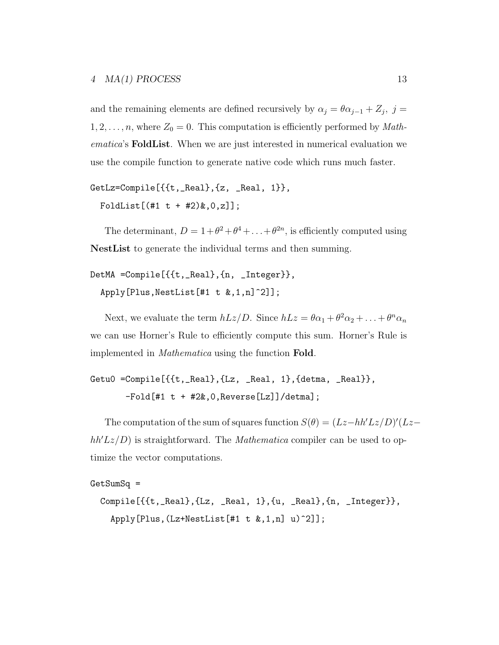and the remaining elements are defined recursively by  $\alpha_j = \theta \alpha_{j-1} + Z_j$ ,  $j =$  $1, 2, \ldots, n$ , where  $Z_0 = 0$ . This computation is efficiently performed by *Math*ematica's FoldList. When we are just interested in numerical evaluation we use the compile function to generate native code which runs much faster.

```
GetLz=Compile[{{t,_Real},{z, _Real, 1}},
  FoldList[(#1 t + #2) & 0, z]];
```
The determinant,  $D = 1 + \theta^2 + \theta^4 + \ldots + \theta^{2n}$ , is efficiently computed using NestList to generate the individual terms and then summing.

```
DetMA =Compile[{{t,_Real},{n, _Integer}},
  Apply[Plus,NestList[#1 t &,1,n]^2]];
```
Next, we evaluate the term  $hLz/D$ . Since  $hLz = \theta \alpha_1 + \theta^2 \alpha_2 + \ldots + \theta^n \alpha_n$ we can use Horner's Rule to efficiently compute this sum. Horner's Rule is implemented in Mathematica using the function Fold.

```
Getu0 =Compile[{{t,_Real},{Lz, _Real, 1},{detma, _Real}},
       -Fold[#1 t + #2k, 0, Reverse[Lz]]/detma];
```
The computation of the sum of squares function  $S(\theta) = (Lz-hh'Lz/D)'(Lz-\theta)$  $hh'Lz/D$ ) is straightforward. The *Mathematica* compiler can be used to optimize the vector computations.

```
GetSumSq =
```
Compile[{{t,\_Real},{Lz, \_Real, 1},{u, \_Real},{n, \_Integer}}, Apply[Plus,(Lz+NestList[#1 t &,1,n] u)^2]];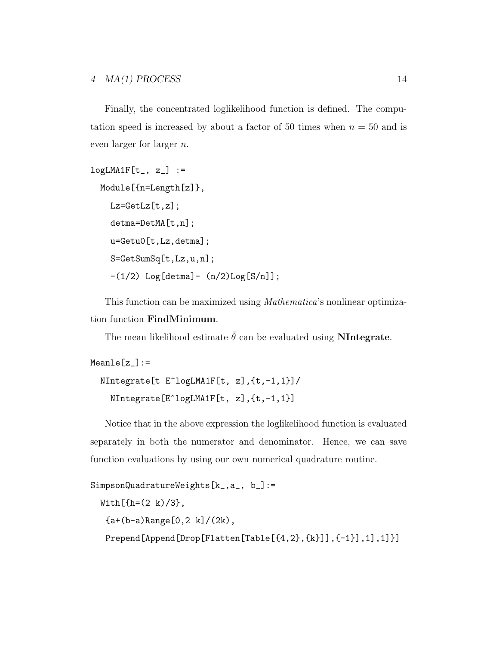Finally, the concentrated loglikelihood function is defined. The computation speed is increased by about a factor of 50 times when  $n = 50$  and is even larger for larger n.

```
logLMA1F[t_, z_'] :=
 Module[{n=Length[z]},
    Lz=GetLz[t,z];
    detma=DetMA[t,n];
    u=Getu0[t,Lz,detma];
    S=GetSumSq[t,Lz,u,n];
    -(1/2) Log[detma]- (n/2)Log[S/n]];
```
This function can be maximized using Mathematica's nonlinear optimization function FindMinimum.

The mean likelihood estimate  $\bar{\theta}$  can be evaluated using **NIntegrate**.

```
Meanle[z_]:=NIntegrate[t E^logLMA1F[t, z],{t,-1,1}]/
   NIntegrate[E^logLMA1F[t, z],{t,-1,1}]
```
Notice that in the above expression the loglikelihood function is evaluated separately in both the numerator and denominator. Hence, we can save function evaluations by using our own numerical quadrature routine.

```
SimpsonQuadratureWeights[k_,a_, b_]:=
  With [{h=(2 k)}/3],{a+(b-a)Range[0,2 k]/(2k),
   Prepend[Append[Drop[Flatten[Table[{4,2},{k}]],{-1}],1],1]}]
```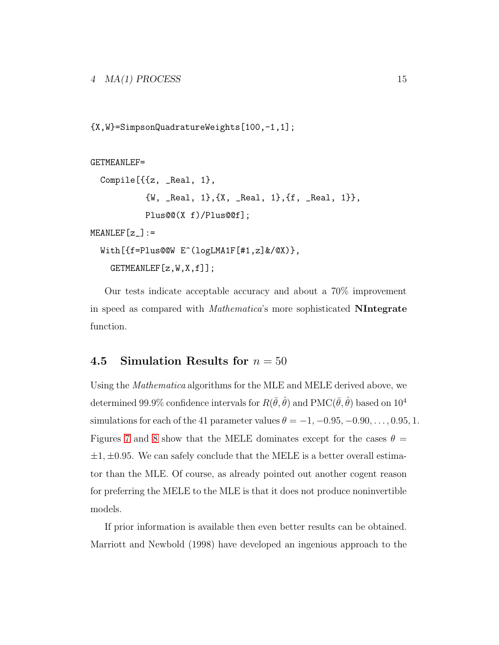{X,W}=SimpsonQuadratureWeights[100,-1,1];

```
GETMEANLEF=
  Compile[{{z, _Real, 1},
           {W, _Real, 1},{X, _Real, 1},{f, _Real, 1}},
           Plus@@(X f)/Plus@@f];
MEANLET[Z_]:=With[{f=Plus@@W E^(logLMA1F[#1,z]&/@X)},
    GETMEANLEF[z,W,X,f]];
```
Our tests indicate acceptable accuracy and about a 70% improvement in speed as compared with *Mathematica*'s more sophisticated **NIntegrate** function.

### 4.5 Simulation Results for  $n = 50$

Using the Mathematica algorithms for the MLE and MELE derived above, we determined 99.9% confidence intervals for  $R(\bar{\theta}, \hat{\theta})$  and  $\text{PMC}(\bar{\theta}, \hat{\theta})$  based on  $10^4$ simulations for each of the 41 parameter values  $\theta = -1, -0.95, -0.90, \ldots, 0.95, 1.$ Figures [7](#page-26-1) and [8](#page-27-0) show that the MELE dominates except for the cases  $\theta =$  $\pm 1, \pm 0.95$ . We can safely conclude that the MELE is a better overall estimator than the MLE. Of course, as already pointed out another cogent reason for preferring the MELE to the MLE is that it does not produce noninvertible models.

If prior information is available then even better results can be obtained. Marriott and Newbold (1998) have developed an ingenious approach to the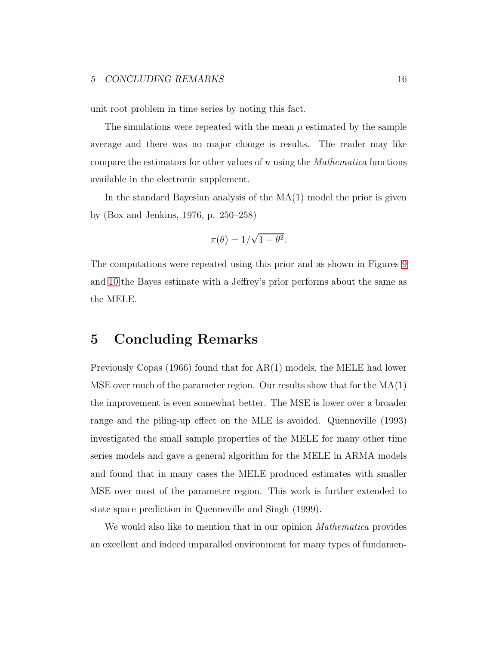unit root problem in time series by noting this fact.

The simulations were repeated with the mean  $\mu$  estimated by the sample average and there was no major change is results. The reader may like compare the estimators for other values of n using the *Mathematica* functions available in the electronic supplement.

In the standard Bayesian analysis of the  $MA(1)$  model the prior is given by (Box and Jenkins, 1976, p. 250–258)

$$
\pi(\theta) = 1/\sqrt{1 - \theta^2}.
$$

The computations were repeated using this prior and as shown in Figures [9](#page-28-0) and [10](#page-29-0) the Bayes estimate with a Jeffrey's prior performs about the same as the MELE.

# 5 Concluding Remarks

Previously Copas (1966) found that for AR(1) models, the MELE had lower MSE over much of the parameter region. Our results show that for the  $MA(1)$ the improvement is even somewhat better. The MSE is lower over a broader range and the piling-up effect on the MLE is avoided. Quenneville (1993) investigated the small sample properties of the MELE for many other time series models and gave a general algorithm for the MELE in ARMA models and found that in many cases the MELE produced estimates with smaller MSE over most of the parameter region. This work is further extended to state space prediction in Quenneville and Singh (1999).

We would also like to mention that in our opinion *Mathematica* provides an excellent and indeed unparalled environment for many types of fundamen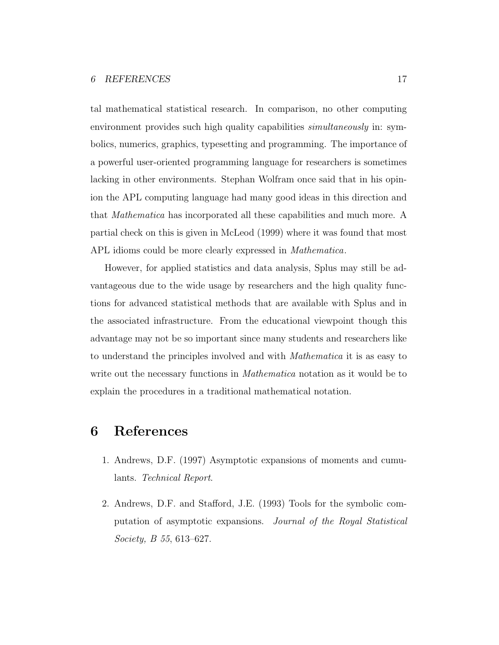tal mathematical statistical research. In comparison, no other computing environment provides such high quality capabilities *simultaneously* in: symbolics, numerics, graphics, typesetting and programming. The importance of a powerful user-oriented programming language for researchers is sometimes lacking in other environments. Stephan Wolfram once said that in his opinion the APL computing language had many good ideas in this direction and that Mathematica has incorporated all these capabilities and much more. A partial check on this is given in McLeod (1999) where it was found that most APL idioms could be more clearly expressed in Mathematica.

However, for applied statistics and data analysis, Splus may still be advantageous due to the wide usage by researchers and the high quality functions for advanced statistical methods that are available with Splus and in the associated infrastructure. From the educational viewpoint though this advantage may not be so important since many students and researchers like to understand the principles involved and with Mathematica it is as easy to write out the necessary functions in *Mathematica* notation as it would be to explain the procedures in a traditional mathematical notation.

# 6 References

- 1. Andrews, D.F. (1997) Asymptotic expansions of moments and cumulants. Technical Report.
- 2. Andrews, D.F. and Stafford, J.E. (1993) Tools for the symbolic computation of asymptotic expansions. Journal of the Royal Statistical Society, B 55, 613–627.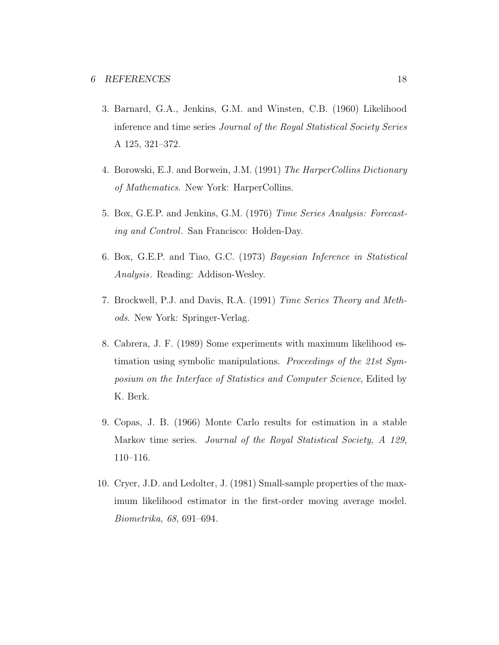- 3. Barnard, G.A., Jenkins, G.M. and Winsten, C.B. (1960) Likelihood inference and time series Journal of the Royal Statistical Society Series A 125, 321–372.
- 4. Borowski, E.J. and Borwein, J.M. (1991) The HarperCollins Dictionary of Mathematics. New York: HarperCollins.
- 5. Box, G.E.P. and Jenkins, G.M. (1976) Time Series Analysis: Forecasting and Control. San Francisco: Holden-Day.
- 6. Box, G.E.P. and Tiao, G.C. (1973) Bayesian Inference in Statistical Analysis. Reading: Addison-Wesley.
- 7. Brockwell, P.J. and Davis, R.A. (1991) Time Series Theory and Methods. New York: Springer-Verlag.
- 8. Cabrera, J. F. (1989) Some experiments with maximum likelihood estimation using symbolic manipulations. Proceedings of the 21st Symposium on the Interface of Statistics and Computer Science, Edited by K. Berk.
- 9. Copas, J. B. (1966) Monte Carlo results for estimation in a stable Markov time series. Journal of the Royal Statistical Society, A 129, 110–116.
- 10. Cryer, J.D. and Ledolter, J. (1981) Small-sample properties of the maximum likelihood estimator in the first-order moving average model. Biometrika, 68, 691–694.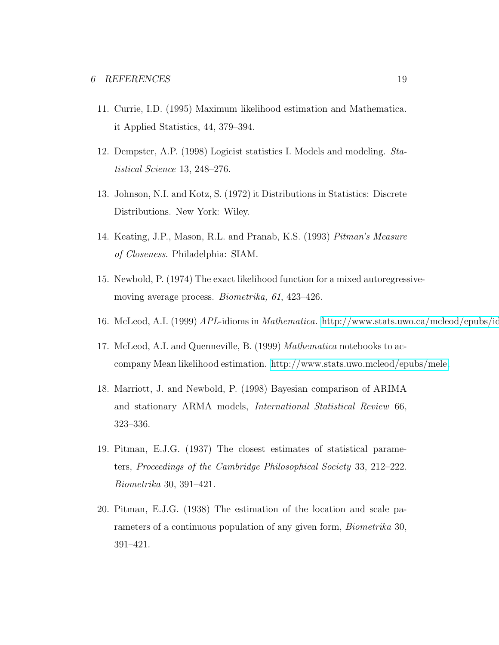- 11. Currie, I.D. (1995) Maximum likelihood estimation and Mathematica. it Applied Statistics, 44, 379–394.
- 12. Dempster, A.P. (1998) Logicist statistics I. Models and modeling. Statistical Science 13, 248–276.
- 13. Johnson, N.I. and Kotz, S. (1972) it Distributions in Statistics: Discrete Distributions. New York: Wiley.
- 14. Keating, J.P., Mason, R.L. and Pranab, K.S. (1993) Pitman's Measure of Closeness. Philadelphia: SIAM.
- 15. Newbold, P. (1974) The exact likelihood function for a mixed autoregressivemoving average process. Biometrika, 61, 423–426.
- 16. McLeod, A.I. (1999) APL-idioms in Mathematica. http://www.stats.uwo.ca/mcleod/epubs/id
- 17. McLeod, A.I. and Quenneville, B. (1999) Mathematica notebooks to accompany Mean likelihood estimation. [http://www.stats.uwo.mcleod/epubs/mele.](http://www.stats.uwo.mcleod/epubs/mele)
- 18. Marriott, J. and Newbold, P. (1998) Bayesian comparison of ARIMA and stationary ARMA models, International Statistical Review 66, 323–336.
- 19. Pitman, E.J.G. (1937) The closest estimates of statistical parameters, Proceedings of the Cambridge Philosophical Society 33, 212–222. Biometrika 30, 391–421.
- 20. Pitman, E.J.G. (1938) The estimation of the location and scale parameters of a continuous population of any given form, *Biometrika* 30, 391–421.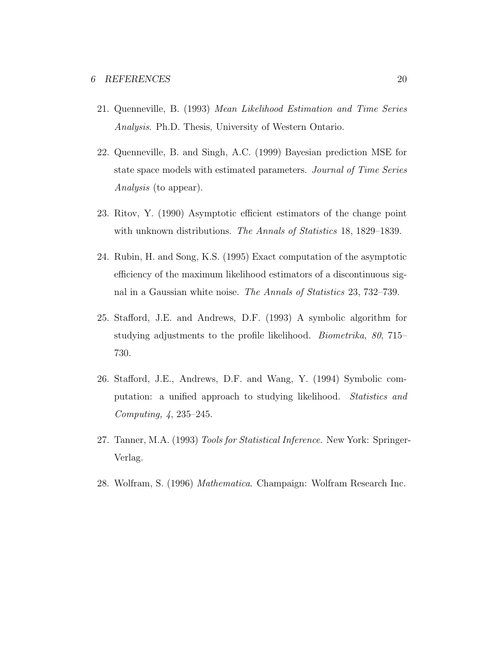- 21. Quenneville, B. (1993) Mean Likelihood Estimation and Time Series Analysis. Ph.D. Thesis, University of Western Ontario.
- 22. Quenneville, B. and Singh, A.C. (1999) Bayesian prediction MSE for state space models with estimated parameters. Journal of Time Series Analysis (to appear).
- 23. Ritov, Y. (1990) Asymptotic efficient estimators of the change point with unknown distributions. The Annals of Statistics 18, 1829–1839.
- 24. Rubin, H. and Song, K.S. (1995) Exact computation of the asymptotic efficiency of the maximum likelihood estimators of a discontinuous signal in a Gaussian white noise. The Annals of Statistics 23, 732–739.
- 25. Stafford, J.E. and Andrews, D.F. (1993) A symbolic algorithm for studying adjustments to the profile likelihood. Biometrika, 80, 715– 730.
- 26. Stafford, J.E., Andrews, D.F. and Wang, Y. (1994) Symbolic computation: a unified approach to studying likelihood. Statistics and Computing, 4, 235–245.
- 27. Tanner, M.A. (1993) Tools for Statistical Inference. New York: Springer-Verlag.
- 28. Wolfram, S. (1996) Mathematica. Champaign: Wolfram Research Inc.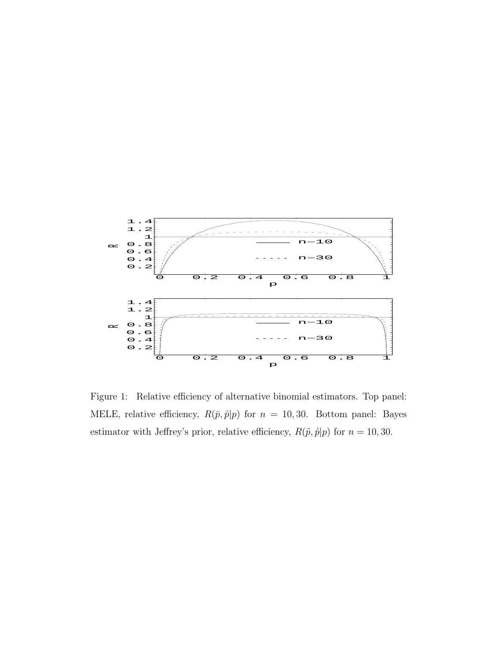

<span id="page-22-0"></span>Figure 1: Relative efficiency of alternative binomial estimators. Top panel: MELE, relative efficiency,  $R(\bar{p}, \hat{p}|p)$  for  $n = 10, 30$ . Bottom panel: Bayes estimator with Jeffrey's prior, relative efficiency,  $R(\tilde{p}, \hat{p}|p)$  for  $n = 10, 30$ .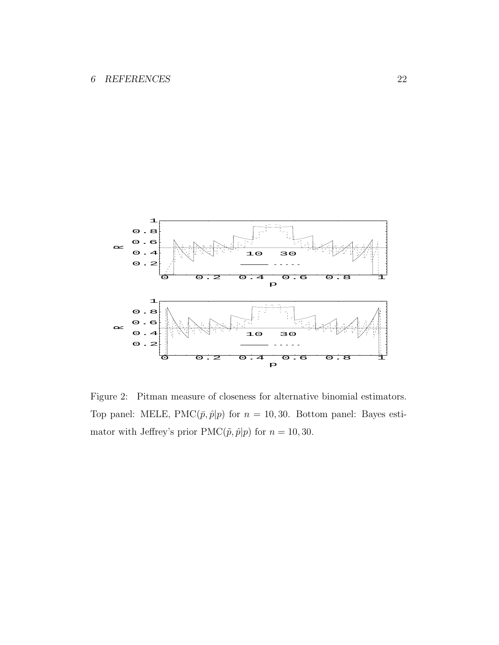

<span id="page-23-0"></span>Figure 2: Pitman measure of closeness for alternative binomial estimators. Top panel: MELE,  $PMC(\bar{p}, \hat{p}|p)$  for  $n = 10, 30$ . Bottom panel: Bayes estimator with Jeffrey's prior  $PMC(\tilde{p}, \hat{p}|p)$  for  $n = 10, 30$ .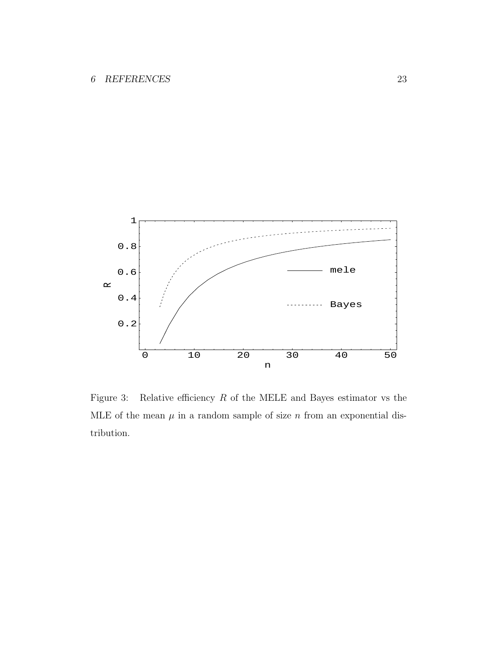

<span id="page-24-0"></span>Figure 3: Relative efficiency  $R$  of the MELE and Bayes estimator vs the MLE of the mean  $\mu$  in a random sample of size n from an exponential distribution.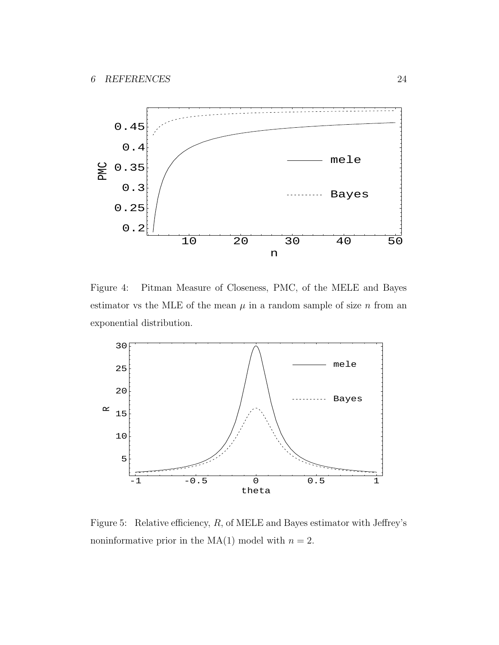

<span id="page-25-0"></span>Figure 4: Pitman Measure of Closeness, PMC, of the MELE and Bayes estimator vs the MLE of the mean  $\mu$  in a random sample of size n from an exponential distribution.



<span id="page-25-1"></span>Figure 5: Relative efficiency,  $R$ , of MELE and Bayes estimator with Jeffrey's noninformative prior in the  $MA(1)$  model with  $n = 2$ .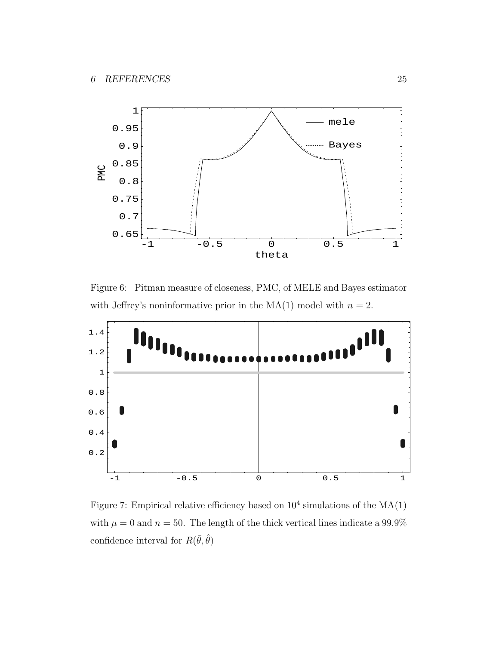

<span id="page-26-0"></span>Figure 6: Pitman measure of closeness, PMC, of MELE and Bayes estimator with Jeffrey's noninformative prior in the  $MA(1)$  model with  $n = 2$ .



<span id="page-26-1"></span>Figure 7: Empirical relative efficiency based on  $10^4$  simulations of the MA(1) with  $\mu = 0$  and  $n = 50$ . The length of the thick vertical lines indicate a 99.9% confidence interval for  $R(\bar{\theta}, \hat{\theta})$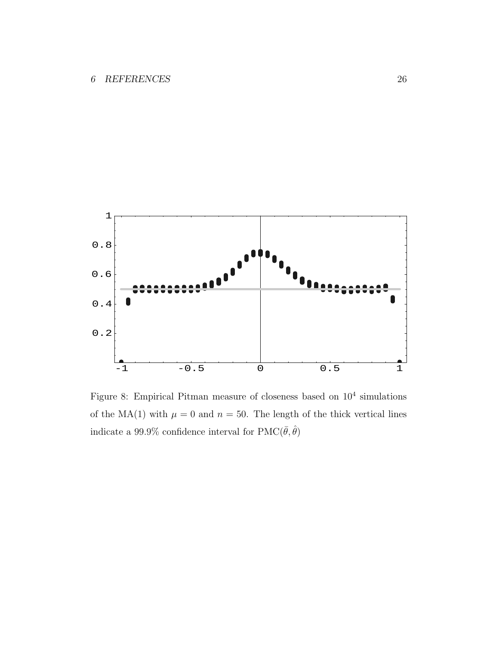

<span id="page-27-0"></span>Figure 8: Empirical Pitman measure of closeness based on  $10^4$  simulations of the MA(1) with  $\mu = 0$  and  $n = 50$ . The length of the thick vertical lines indicate a 99.9% confidence interval for  $\text{PMC}(\bar{\theta}, \hat{\theta})$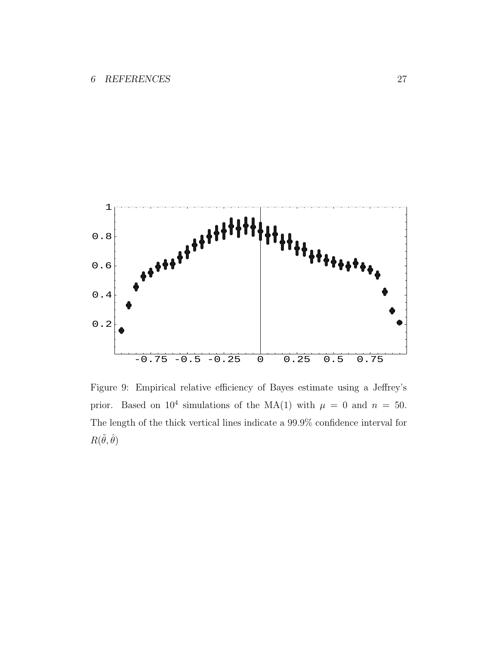

<span id="page-28-0"></span>Figure 9: Empirical relative efficiency of Bayes estimate using a Jeffrey's prior. Based on  $10^4$  simulations of the MA(1) with  $\mu = 0$  and  $n = 50$ . The length of the thick vertical lines indicate a 99.9% confidence interval for  $R(\tilde{\theta}, \hat{\theta})$